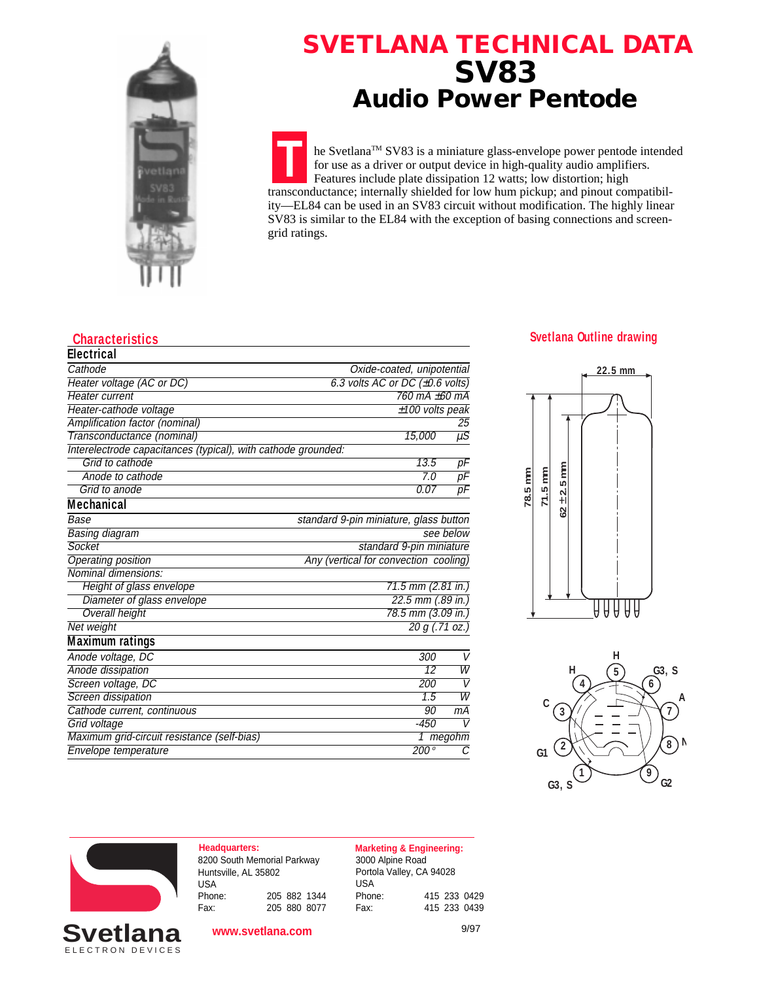

## **SVETLANA TECHNICAL DATA SV83 Audio Power Pentode**

**T** he SvetlanaTM SV83 is a miniature glass-envelope power pentode intended for use as a driver or output device in high-quality audio amplifiers. Features include plate dissipation 12 watts; low distortion; high transconductance; internally shielded for low hum pickup; and pinout compatibility—EL84 can be used in an SV83 circuit without modification. The highly linear SV83 is similar to the EL84 with the exception of basing connections and screengrid ratings.

| <b>Electrical</b>                                             |                                              |                            |  |  |  |
|---------------------------------------------------------------|----------------------------------------------|----------------------------|--|--|--|
| Cathode                                                       |                                              | Oxide-coated, unipotential |  |  |  |
| Heater voltage (AC or DC)                                     | 6.3 volts AC or DC $(\pm 0.6 \text{ volts})$ |                            |  |  |  |
| Heater current                                                | 760 mA +60 mA                                |                            |  |  |  |
| Heater-cathode voltage                                        |                                              | $±100$ volts peak          |  |  |  |
| Amplification factor (nominal)                                |                                              | 25                         |  |  |  |
| Transconductance (nominal)                                    | 15,000                                       | $\overline{\mu S}$         |  |  |  |
| Interelectrode capacitances (typical), with cathode grounded: |                                              |                            |  |  |  |
| Grid to cathode                                               | 13.5                                         | $p\overline{F}$            |  |  |  |
| Anode to cathode                                              | 7.0<br>$\overline{pF}$                       |                            |  |  |  |
| Grid to anode                                                 | 0.07                                         | рF                         |  |  |  |
| <b>Mechanical</b>                                             |                                              |                            |  |  |  |
| Base                                                          | standard 9-pin miniature, glass button       |                            |  |  |  |
| <b>Basing diagram</b>                                         | see below                                    |                            |  |  |  |
| Socket                                                        | standard 9-pin miniature                     |                            |  |  |  |
| Operating position                                            | Any (vertical for convection cooling)        |                            |  |  |  |
| Nominal dimensions:                                           |                                              |                            |  |  |  |
| Height of glass envelope                                      | $71.5$ mm (2.81 in.)                         |                            |  |  |  |
| Diameter of glass envelope                                    | $22.5$ mm $(.89$ in.)                        |                            |  |  |  |
| <b>Overall height</b>                                         | 78.5 mm (3.09 in.)                           |                            |  |  |  |
| <b>Net weight</b>                                             | $\overline{20 g(.71 oz.)}$                   |                            |  |  |  |
| <b>Maximum ratings</b>                                        |                                              |                            |  |  |  |
| Anode voltage, DC                                             | 300                                          | V                          |  |  |  |
| Anode dissipation                                             | 12                                           | W                          |  |  |  |
| Screen voltage, DC                                            | 200                                          | $\mathsf{V}$               |  |  |  |
| Screen dissipation                                            | $\overline{1.5}$                             | $\overline{W}$             |  |  |  |
| Cathode current, continuous                                   | 90                                           | mА                         |  |  |  |
| Grid voltage                                                  | $-450$                                       | $\overline{V}$             |  |  |  |
| Maximum grid-circuit resistance (self-bias)                   |                                              | $1$ megohm                 |  |  |  |
| <b>Envelope temperature</b>                                   | 200°                                         | $\overline{c}$             |  |  |  |

## **Characteristics Svetlana Outline drawing**







ELECTRON DEVICES

| <b>Headquarters:</b>        |  |              |
|-----------------------------|--|--------------|
| 8200 South Memorial Parkway |  |              |
| Huntsville, AL 35802        |  |              |
| USA                         |  |              |
| Phone:                      |  | 205 882 1344 |
| Fax:                        |  | 205 880 8077 |

**www.svetlana.com**

3000 Alpine Road Portola Valley, CA 94028 USA Phone: 415 233 0429 Fax: 415 233 0439 **Marketing & Engineering:**